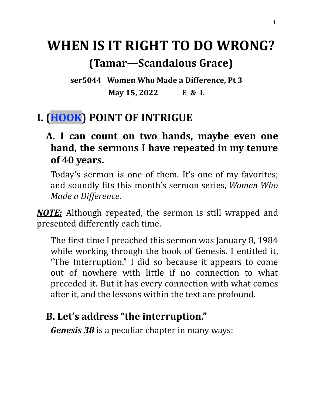# **WHEN IS IT RIGHT TO DO WRONG?**

## **(Tamar—Scandalous Grace)**

**ser5044 Women Who Made a Difference, Pt 3 May 15, 2022 E & L**

## **I. (HOOK) POINT OF INTRIGUE**

#### **A. I can count on two hands, maybe even one hand, the sermons I have repeated in my tenure of 40 years.**

Today's sermon is one of them. It's one of my favorites; and soundly fits this month's sermon series, *Women Who Made a Difference*.

*NOTE:* Although repeated, the sermon is still wrapped and presented differently each time.

The first time I preached this sermon was January 8, 1984 while working through the book of Genesis. I entitled it, "The Interruption." I did so because it appears to come out of nowhere with little if no connection to what preceded it. But it has every connection with what comes after it, and the lessons within the text are profound.

## **B. Let's address "the interruption."**

*Genesis 38* is a peculiar chapter in many ways: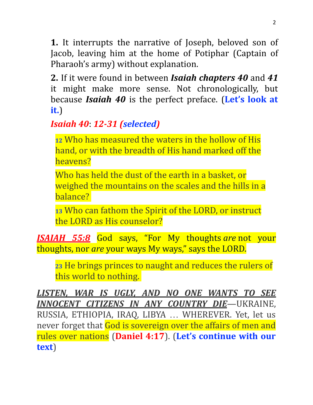**1.** It interrupts the narrative of Joseph, beloved son of Jacob, leaving him at the home of Potiphar (Captain of Pharaoh's army) without explanation.

**2.** If it were found in between *Isaiah chapters 40* and *41* it might make more sense. Not chronologically, but because *Isaiah 40* is the perfect preface. (**Let's look at it.**)

## *Isaiah 40*: *12-31 (selected)*

**<sup>12</sup>** Who has measured the waters in the hollow of His hand, or with the breadth of His hand marked off the heavens?

Who has held the dust of the earth in a basket, or weighed the mountains on the scales and the hills in a balance?

**<sup>13</sup>** Who can fathom the Spirit of the LORD, or instruct the LORD as His counselor?

*ISAIAH 55:8* God says, "For My thoughts *are* not your thoughts, nor *are* your ways My ways," says the LORD.

**<sup>23</sup>** He brings princes to naught and reduces the rulers of this world to nothing.

*LISTEN, WAR IS UGLY, AND NO ONE WANTS TO SEE INNOCENT CITIZENS IN ANY COUNTRY DIE*—UKRAINE, RUSSIA, ETHIOPIA, IRAQ, LIBYA … WHEREVER. Yet, let us never forget that God is sovereign over the affairs of men and rules over nations (**Daniel 4:17**). (**Let's continue with our text**)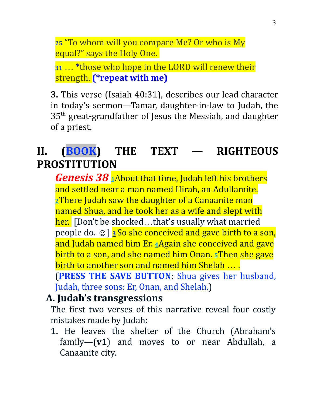**<sup>25</sup>** "To whom will you compare Me? Or who is My equal?" says the Holy One.

**<sup>31</sup>** … \*those who hope in the LORD will renew their strength. **(\*repeat with me)**

**3.** This verse (Isaiah 40:31), describes our lead character in today's sermon—Tamar, daughter-in-law to Judah, the 35<sup>th</sup> great-grandfather of Jesus the Messiah, and daughter of a priest.

## **II. (BOOK) THE TEXT — RIGHTEOUS PROSTITUTION**

*Genesis 38* **[1](https://biblehub.com/genesis/38-1.htm)**About that time, Judah left his brothers and settled near a man named Hirah, an Adullamite. **[2](https://biblehub.com/genesis/38-2.htm)**There Judah saw the daughter of a Canaanite man named Shua, and he took her as a wife and slept with her. [Don't be shocked...that's usually what married people do. ☺] **[3](https://biblehub.com/genesis/38-3.htm)** So she conceived and gave birth to a son, and Judah named him Er. **[4](https://biblehub.com/genesis/38-4.htm)**Again she conceived and gave birth to a son, and she named him Onan. **[5](https://biblehub.com/genesis/38-5.htm)**Then she gave birth to another son and named him Shelah … .

(**PRESS THE SAVE BUTTON**: Shua gives her husband, Judah, three sons: Er, Onan, and Shelah.)

#### **A. Judah's transgressions**

The first two verses of this narrative reveal four costly mistakes made by Judah:

**1.** He leaves the shelter of the Church (Abraham's family—(**v1**) and moves to or near Abdullah, a Canaanite city.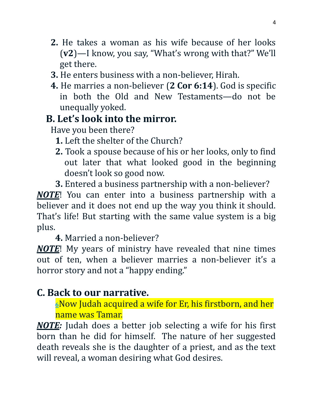- **2.** He takes a woman as his wife because of her looks (**v2**)—I know, you say, "What's wrong with that?" We'll get there.
- **3.** He enters business with a non-believer, Hirah.
- **4.** He marries a non-believer (**2 Cor 6:14**). God is specific in both the Old and New Testaments—do not be unequally yoked.

#### **B. Let's look into the mirror.**

Have you been there?

- **1.** Left the shelter of the Church?
- **2.** Took a spouse because of his or her looks, only to find out later that what looked good in the beginning doesn't look so good now.
- **3.** Entered a business partnership with a non-believer?

*NOTE*! You can enter into a business partnership with a believer and it does not end up the way you think it should. That's life! But starting with the same value system is a big plus.

**4.** Married a non-believer?

*NOTE*! My years of ministry have revealed that nine times out of ten, when a believer marries a non-believer it's a horror story and not a "happy ending."

#### **C. Back to our narrative.**

**[6](https://biblehub.com/genesis/38-6.htm)**Now Judah acquired a wife for Er, his firstborn, and her name was Tamar.

*NOTE:* Judah does a better job selecting a wife for his first born than he did for himself. The nature of her suggested death reveals she is the daughter of a priest, and as the text will reveal, a woman desiring what God desires.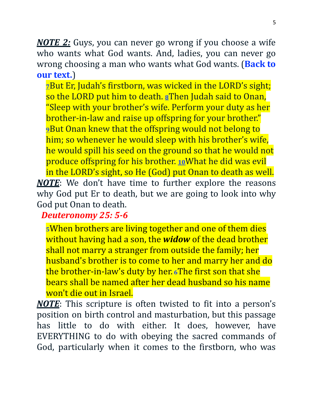*NOTE 2:* Guys, you can never go wrong if you choose a wife who wants what God wants. And, ladies, you can never go wrong choosing a man who wants what God wants. (**Back to our text.**)

**[7](https://biblehub.com/genesis/38-7.htm)**But Er, Judah's firstborn, was wicked in the LORD's sight; so the LORD put him to death. **[8](https://biblehub.com/genesis/38-8.htm)**Then Judah said to Onan, "Sleep with your brother's wife. Perform your duty as her brother-in-law and raise up offspring for your brother." **[9](https://biblehub.com/genesis/38-9.htm)**But Onan knew that the offspring would not belong to him; so whenever he would sleep with his brother's wife, he would spill his seed on the ground so that he would not produce offspring for his brother. **[10](https://biblehub.com/genesis/38-10.htm)**What he did was evil in the LORD's sight, so He (God) put Onan to death as well. *NOTE*: We don't have time to further explore the reasons why God put Er to death, but we are going to look into why God put Onan to death.

*Deuteronomy 25: 5-6*

**<sup>5</sup>**When brothers are living together and one of them dies without having had a son, the *[widow](https://www.biblestudytools.com/msg/deuteronomy/25.html)* of the dead brother shall not marry a stranger from outside the family; her husband's brother is to come to her and marry her and do the brother-in-law's duty by her. **<sup>6</sup>**The first son that she bears shall be named after her dead husband so his name won't die out in Israel.

*NOTE*: This scripture is often twisted to fit into a person's position on birth control and masturbation, but this passage has little to do with either. It does, however, have EVERYTHING to do with obeying the sacred commands of God, particularly when it comes to the firstborn, who was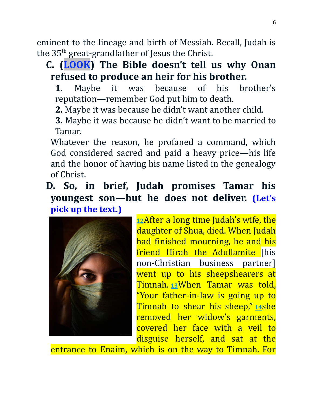eminent to the lineage and birth of Messiah. Recall, Judah is the 35th great-grandfather of Jesus the Christ.

#### **C. (LOOK) The Bible doesn't tell us why Onan refused to produce an heir for his brother.**

**1.** Maybe it was because of his brother's reputation—remember God put him to death.

**2.** Maybe it was because he didn't want another child.

**3.** Maybe it was because he didn't want to be married to Tamar.

Whatever the reason, he profaned a command, which God considered sacred and paid a heavy price—his life and the honor of having his name listed in the genealogy of Christ.

**D. So, in brief, Judah promises Tamar his youngest son—but he does not deliver. (Let's pick up the text.)**



**[12](https://biblehub.com/genesis/38-12.htm)**After a long time Judah's wife, the daughter of Shua, died. When Judah had finished mourning, he and his friend Hirah the Adullamite [his non-Christian business partner] went up to his sheepshearers at Timnah. **[13](https://biblehub.com/genesis/38-13.htm)**When Tamar was told, "Your father-in-law is going up to Timnah to shear his sheep," **[14](https://biblehub.com/genesis/38-14.htm)**she removed her widow's garments, covered her face with a veil to disguise herself, and sat at the

entrance to Enaim, which is on the way to Timnah. For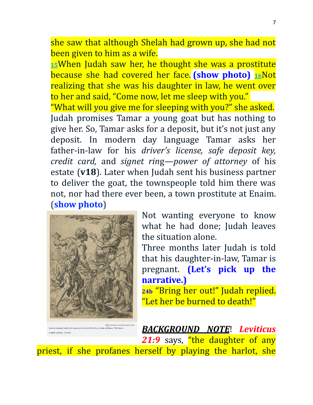she saw that although Shelah had grown up, she had not been given to him as a wife.

**[15](https://biblehub.com/genesis/38-15.htm)**When Judah saw her, he thought she was a prostitute because she had covered her face. **(show photo) [16](https://biblehub.com/genesis/38-16.htm)**Not realizing that she was his daughter in law, he went over to her and said, "Come now, let me sleep with you."

"What will you give me for sleeping with you?" she asked. Judah promises Tamar a young goat but has nothing to give her. So, Tamar asks for a deposit, but it's not just any deposit. In modern day language Tamar asks her father-in-law for his *driver's license, safe deposit key, credit card,* and *signet rin*g—*power of attorney* of his estate (**v18**). Later when Judah sent his business partner to deliver the goat, the townspeople told him there was not, nor had there ever been, a town prostitute at Enaim. (**show photo**)



ons - CC by NO

Not wanting everyone to know what he had done; Judah leaves the situation alone.

Three months later Judah is told that his daughter-in-law, Tamar is pregnant. **(Let's pick up the narrative.)**

**24b** "Bring her out!" Judah replied. "Let her be burned to death!"

*BACKGROUND NOTE*! *Leviticus* 21:9 says, "the daughter of any priest, if she profanes herself by playing the harlot, she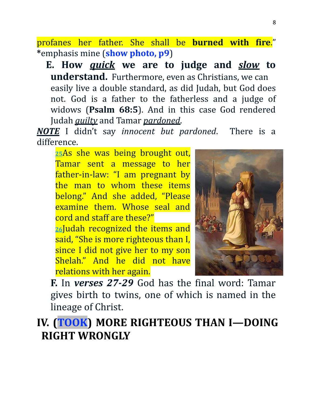profanes her father. She shall be **burned with fire**." **\***emphasis mine (**show photo, p9**)

**E. How** *quick* **we are to judge and** *slow* **to understand.** Furthermore, even as Christians, we can easily live a double standard, as did Judah, but God does not. God is a father to the fatherless and a judge of widows (**Psalm 68:5**). And in this case God rendered Judah *guilty* and Tamar *pardoned*.

*NOTE* I didn't say *innocent but pardoned*. There is a difference.

**[25](https://biblehub.com/genesis/38-25.htm)**As she was being brought out, Tamar sent a message to her father-in-law: "I am pregnant by the man to whom these items belong." And she added, "Please examine them. Whose seal and cord and staff are these?"

**[26](https://biblehub.com/genesis/38-26.htm)**Judah recognized the items and said, "She is more righteous than I, since I did not give her to my son Shelah." And he did not have relations with her again.



**F.** In *verses 27-29* God has the final word: Tamar gives birth to twins, one of which is named in the lineage of Christ.

**IV. (TOOK) MORE RIGHTEOUS THAN I—DOING RIGHT WRONGLY**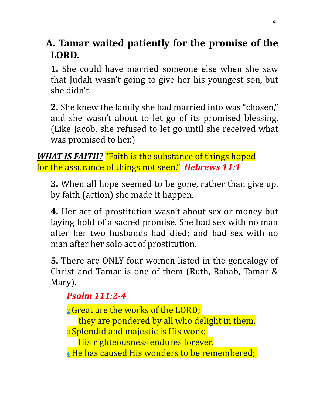**A. Tamar waited patiently for the promise of the LORD.**

**1.** She could have married someone else when she saw that Judah wasn't going to give her his youngest son, but she didn't.

**2.** She knew the family she had married into was "chosen," and she wasn't about to let go of its promised blessing. (Like Jacob, she refused to let go until she received what was promised to her.)

**WHAT IS FAITH?** "Faith is the substance of things hoped for the assurance of things not seen." *Hebrews 11:1*

**3.** When all hope seemed to be gone, rather than give up, by faith (action) she made it happen.

**4.** Her act of prostitution wasn't about sex or money but laying hold of a sacred promise. She had sex with no man after her two husbands had died; and had sex with no man after her solo act of prostitution.

**5.** There are ONLY four women listed in the genealogy of Christ and Tamar is one of them (Ruth, Rahab, Tamar & Mary).

#### *Psalm 111:2-4*

**[2](https://biblehub.com/psalms/111-2.htm)**Great are the works of the LORD;

they are pondered by all who delight in them.

**[3](https://biblehub.com/psalms/111-3.htm)** Splendid and majestic is His work;

His righteousness endures forever.

**[4](https://biblehub.com/psalms/111-4.htm)**He has caused His wonders to be remembered;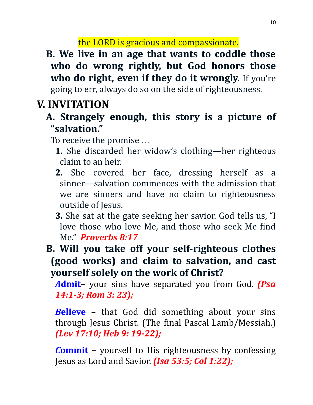the LORD is gracious and compassionate.

**B. We live in an age that wants to coddle those who do wrong rightly, but God honors those who do right, even if they do it wrongly.** If you're going to err, always do so on the side of righteousness.

## **V. INVITATION**

**A. Strangely enough, this story is a picture of "salvation."**

To receive the promise …

- **1.** She discarded her widow's clothing—her righteous claim to an heir.
- **2.** She covered her face, dressing herself as a sinner—salvation commences with the admission that we are sinners and have no claim to righteousness outside of Jesus.
- **3.** She sat at the gate seeking her savior. God tells us, "I love those who love Me, and those who seek Me find Me." *Proverbs 8:17*
- **B. Will you take off your self-righteous clothes (good works) and claim to salvation, and cast yourself solely on the work of Christ?**

*A***dmit**– your sins have separated you from God. *(Psa 14:1-3; Rom 3: 23);*

*B***elieve –** that God did something about your sins through Jesus Christ. (The final Pascal Lamb/Messiah.) *(Lev 17:10; Heb 9: 19-22);*

*C***ommit –** yourself to His righteousness by confessing Jesus as Lord and Savior. *(Isa 53:5; Col 1:22);*